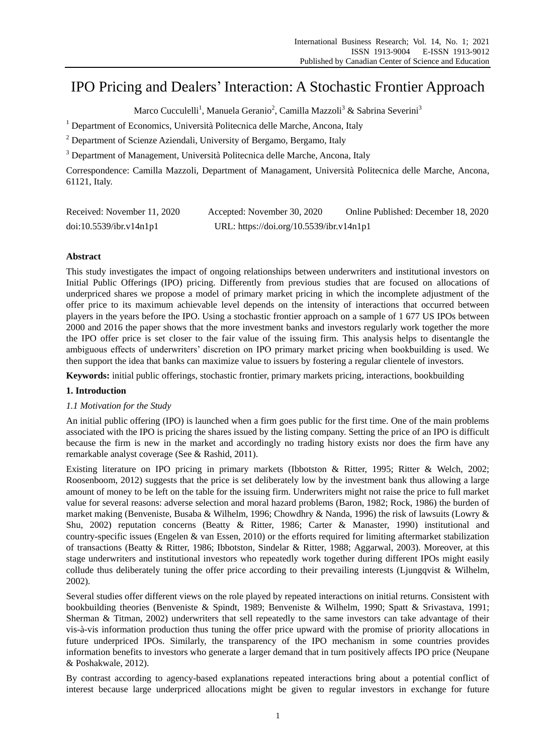# IPO Pricing and Dealers" Interaction: A Stochastic Frontier Approach

Marco Cucculelli<sup>1</sup>, Manuela Geranio<sup>2</sup>, Camilla Mazzoli<sup>3</sup> & Sabrina Severini<sup>3</sup>

<sup>1</sup> Department of Economics, Universit à Politecnica delle Marche, Ancona, Italy

<sup>2</sup> Department of Scienze Aziendali, University of Bergamo, Bergamo, Italy

<sup>3</sup> Department of Management, Universit à Politecnica delle Marche, Ancona, Italy

Correspondence: Camilla Mazzoli, Department of Managament, Università Politecnica delle Marche, Ancona, 61121, Italy.

| Received: November 11, 2020 | Accepted: November 30, 2020              | Online Published: December 18, 2020 |
|-----------------------------|------------------------------------------|-------------------------------------|
| doi:10.5539/ibr.v14n1p1     | URL: https://doi.org/10.5539/ibr.v14n1p1 |                                     |

# **Abstract**

This study investigates the impact of ongoing relationships between underwriters and institutional investors on Initial Public Offerings (IPO) pricing. Differently from previous studies that are focused on allocations of underpriced shares we propose a model of primary market pricing in which the incomplete adjustment of the offer price to its maximum achievable level depends on the intensity of interactions that occurred between players in the years before the IPO. Using a stochastic frontier approach on a sample of 1 677 US IPOs between 2000 and 2016 the paper shows that the more investment banks and investors regularly work together the more the IPO offer price is set closer to the fair value of the issuing firm. This analysis helps to disentangle the ambiguous effects of underwriters" discretion on IPO primary market pricing when bookbuilding is used. We then support the idea that banks can maximize value to issuers by fostering a regular clientele of investors.

**Keywords:** initial public offerings, stochastic frontier, primary markets pricing, interactions, bookbuilding

# **1. Introduction**

# *1.1 Motivation for the Study*

An initial public offering (IPO) is launched when a firm goes public for the first time. One of the main problems associated with the IPO is pricing the shares issued by the listing company. Setting the price of an IPO is difficult because the firm is new in the market and accordingly no trading history exists nor does the firm have any remarkable analyst coverage (See & Rashid, 2011).

Existing literature on IPO pricing in primary markets (Ibbotston & Ritter, 1995; Ritter & Welch, 2002; Roosenboom, 2012) suggests that the price is set deliberately low by the investment bank thus allowing a large amount of money to be left on the table for the issuing firm. Underwriters might not raise the price to full market value for several reasons: adverse selection and moral hazard problems (Baron, 1982; Rock, 1986) the burden of market making (Benveniste, Busaba & Wilhelm, 1996; Chowdhry & Nanda, 1996) the risk of lawsuits (Lowry & Shu, 2002) reputation concerns (Beatty & Ritter, 1986; Carter & Manaster, 1990) institutional and country-specific issues (Engelen & van Essen, 2010) or the efforts required for limiting aftermarket stabilization of transactions (Beatty & Ritter, 1986; Ibbotston, Sindelar & Ritter, 1988; Aggarwal, 2003). Moreover, at this stage underwriters and institutional investors who repeatedly work together during different IPOs might easily collude thus deliberately tuning the offer price according to their prevailing interests (Ljungqvist & Wilhelm, 2002).

Several studies offer different views on the role played by repeated interactions on initial returns. Consistent with bookbuilding theories (Benveniste & Spindt, 1989; Benveniste & Wilhelm, 1990; Spatt & Srivastava, 1991; Sherman & Titman, 2002) underwriters that sell repeatedly to the same investors can take advantage of their vis-à-vis information production thus tuning the offer price upward with the promise of priority allocations in future underpriced IPOs. Similarly, the transparency of the IPO mechanism in some countries provides information benefits to investors who generate a larger demand that in turn positively affects IPO price (Neupane & Poshakwale, 2012).

By contrast according to agency-based explanations repeated interactions bring about a potential conflict of interest because large underpriced allocations might be given to regular investors in exchange for future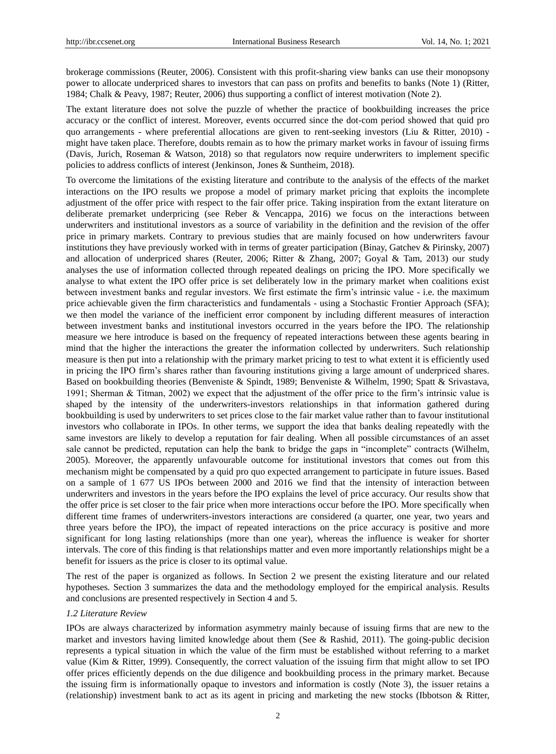brokerage commissions (Reuter, 2006). Consistent with this profit-sharing view banks can use their monopsony power to allocate underpriced shares to investors that can pass on profits and benefits to banks (Note 1) (Ritter, 1984; Chalk & Peavy, 1987; Reuter, 2006) thus supporting a conflict of interest motivation (Note 2).

The extant literature does not solve the puzzle of whether the practice of bookbuilding increases the price accuracy or the conflict of interest. Moreover, events occurred since the dot-com period showed that quid pro quo arrangements - where preferential allocations are given to rent-seeking investors (Liu & Ritter, 2010) might have taken place. Therefore, doubts remain as to how the primary market works in favour of issuing firms (Davis, Jurich, Roseman & Watson, 2018) so that regulators now require underwriters to implement specific policies to address conflicts of interest (Jenkinson, Jones & Suntheim, 2018).

To overcome the limitations of the existing literature and contribute to the analysis of the effects of the market interactions on the IPO results we propose a model of primary market pricing that exploits the incomplete adjustment of the offer price with respect to the fair offer price. Taking inspiration from the extant literature on deliberate premarket underpricing (see Reber & Vencappa, 2016) we focus on the interactions between underwriters and institutional investors as a source of variability in the definition and the revision of the offer price in primary markets. Contrary to previous studies that are mainly focused on how underwriters favour institutions they have previously worked with in terms of greater participation (Binay, Gatchev & Pirinsky, 2007) and allocation of underpriced shares (Reuter, 2006; Ritter & Zhang, 2007; Goyal & Tam, 2013) our study analyses the use of information collected through repeated dealings on pricing the IPO. More specifically we analyse to what extent the IPO offer price is set deliberately low in the primary market when coalitions exist between investment banks and regular investors. We first estimate the firm"s intrinsic value - i.e. the maximum price achievable given the firm characteristics and fundamentals - using a Stochastic Frontier Approach (SFA); we then model the variance of the inefficient error component by including different measures of interaction between investment banks and institutional investors occurred in the years before the IPO. The relationship measure we here introduce is based on the frequency of repeated interactions between these agents bearing in mind that the higher the interactions the greater the information collected by underwriters. Such relationship measure is then put into a relationship with the primary market pricing to test to what extent it is efficiently used in pricing the IPO firm"s shares rather than favouring institutions giving a large amount of underpriced shares. Based on bookbuilding theories (Benveniste & Spindt, 1989; Benveniste & Wilhelm, 1990; Spatt & Srivastava, 1991; Sherman & Titman, 2002) we expect that the adjustment of the offer price to the firm"s intrinsic value is shaped by the intensity of the underwriters-investors relationships in that information gathered during bookbuilding is used by underwriters to set prices close to the fair market value rather than to favour institutional investors who collaborate in IPOs. In other terms, we support the idea that banks dealing repeatedly with the same investors are likely to develop a reputation for fair dealing. When all possible circumstances of an asset sale cannot be predicted, reputation can help the bank to bridge the gaps in "incomplete" contracts (Wilhelm, 2005). Moreover, the apparently unfavourable outcome for institutional investors that comes out from this mechanism might be compensated by a quid pro quo expected arrangement to participate in future issues. Based on a sample of 1 677 US IPOs between 2000 and 2016 we find that the intensity of interaction between underwriters and investors in the years before the IPO explains the level of price accuracy. Our results show that the offer price is set closer to the fair price when more interactions occur before the IPO. More specifically when different time frames of underwriters-investors interactions are considered (a quarter, one year, two years and three years before the IPO), the impact of repeated interactions on the price accuracy is positive and more significant for long lasting relationships (more than one year), whereas the influence is weaker for shorter intervals. The core of this finding is that relationships matter and even more importantly relationships might be a benefit for issuers as the price is closer to its optimal value.

The rest of the paper is organized as follows. In Section 2 we present the existing literature and our related hypotheses. Section 3 summarizes the data and the methodology employed for the empirical analysis. Results and conclusions are presented respectively in Section 4 and 5.

#### *1.2 Literature Review*

IPOs are always characterized by information asymmetry mainly because of issuing firms that are new to the market and investors having limited knowledge about them (See & Rashid, 2011). The going-public decision represents a typical situation in which the value of the firm must be established without referring to a market value (Kim & Ritter, 1999). Consequently, the correct valuation of the issuing firm that might allow to set IPO offer prices efficiently depends on the due diligence and bookbuilding process in the primary market. Because the issuing firm is informationally opaque to investors and information is costly (Note 3), the issuer retains a (relationship) investment bank to act as its agent in pricing and marketing the new stocks (Ibbotson & Ritter,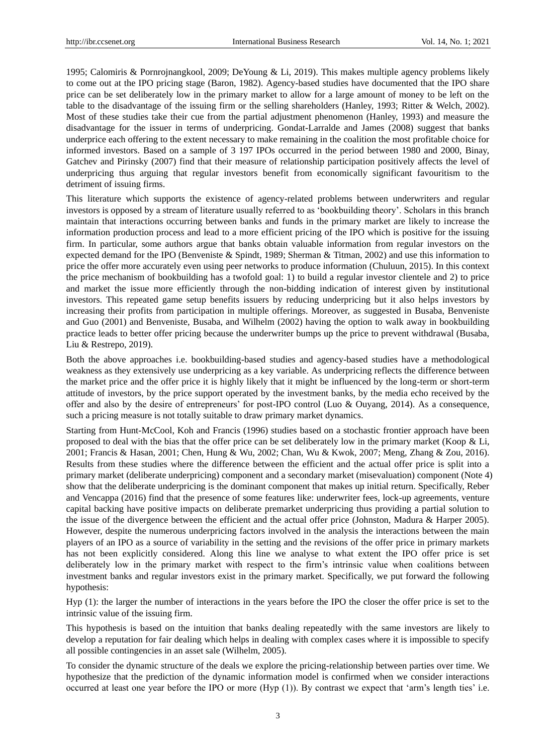1995; Calomiris & Pornrojnangkool, 2009; DeYoung & Li, 2019). This makes multiple agency problems likely to come out at the IPO pricing stage (Baron, 1982). Agency-based studies have documented that the IPO share price can be set deliberately low in the primary market to allow for a large amount of money to be left on the table to the disadvantage of the issuing firm or the selling shareholders (Hanley, 1993; Ritter & Welch, 2002). Most of these studies take their cue from the partial adjustment phenomenon (Hanley, 1993) and measure the disadvantage for the issuer in terms of underpricing. Gondat-Larralde and James (2008) suggest that banks underprice each offering to the extent necessary to make remaining in the coalition the most profitable choice for informed investors. Based on a sample of 3 197 IPOs occurred in the period between 1980 and 2000, Binay, Gatchev and Pirinsky (2007) find that their measure of relationship participation positively affects the level of underpricing thus arguing that regular investors benefit from economically significant favouritism to the detriment of issuing firms.

This literature which supports the existence of agency-related problems between underwriters and regular investors is opposed by a stream of literature usually referred to as "bookbuilding theory". Scholars in this branch maintain that interactions occurring between banks and funds in the primary market are likely to increase the information production process and lead to a more efficient pricing of the IPO which is positive for the issuing firm. In particular, some authors argue that banks obtain valuable information from regular investors on the expected demand for the IPO (Benveniste & Spindt, 1989; Sherman & Titman, 2002) and use this information to price the offer more accurately even using peer networks to produce information (Chuluun, 2015). In this context the price mechanism of bookbuilding has a twofold goal: 1) to build a regular investor clientele and 2) to price and market the issue more efficiently through the non-bidding indication of interest given by institutional investors. This repeated game setup benefits issuers by reducing underpricing but it also helps investors by increasing their profits from participation in multiple offerings. Moreover, as suggested in Busaba, Benveniste and Guo (2001) and Benveniste, Busaba, and Wilhelm (2002) having the option to walk away in bookbuilding practice leads to better offer pricing because the underwriter bumps up the price to prevent withdrawal (Busaba, Liu & Restrepo, 2019).

Both the above approaches i.e. bookbuilding-based studies and agency-based studies have a methodological weakness as they extensively use underpricing as a key variable. As underpricing reflects the difference between the market price and the offer price it is highly likely that it might be influenced by the long-term or short-term attitude of investors, by the price support operated by the investment banks, by the media echo received by the offer and also by the desire of entrepreneurs" for post-IPO control (Luo & Ouyang, 2014). As a consequence, such a pricing measure is not totally suitable to draw primary market dynamics.

Starting from Hunt-McCool, Koh and Francis (1996) studies based on a stochastic frontier approach have been proposed to deal with the bias that the offer price can be set deliberately low in the primary market (Koop & Li, 2001; Francis & Hasan, 2001; Chen, Hung & Wu, 2002; Chan, Wu & Kwok, 2007; Meng, Zhang & Zou, 2016). Results from these studies where the difference between the efficient and the actual offer price is split into a primary market (deliberate underpricing) component and a secondary market (misevaluation) component (Note 4) show that the deliberate underpricing is the dominant component that makes up initial return. Specifically, Reber and Vencappa (2016) find that the presence of some features like: underwriter fees, lock-up agreements, venture capital backing have positive impacts on deliberate premarket underpricing thus providing a partial solution to the issue of the divergence between the efficient and the actual offer price (Johnston, Madura & Harper 2005). However, despite the numerous underpricing factors involved in the analysis the interactions between the main players of an IPO as a source of variability in the setting and the revisions of the offer price in primary markets has not been explicitly considered. Along this line we analyse to what extent the IPO offer price is set deliberately low in the primary market with respect to the firm"s intrinsic value when coalitions between investment banks and regular investors exist in the primary market. Specifically, we put forward the following hypothesis:

Hyp (1): the larger the number of interactions in the years before the IPO the closer the offer price is set to the intrinsic value of the issuing firm.

This hypothesis is based on the intuition that banks dealing repeatedly with the same investors are likely to develop a reputation for fair dealing which helps in dealing with complex cases where it is impossible to specify all possible contingencies in an asset sale (Wilhelm, 2005).

To consider the dynamic structure of the deals we explore the pricing-relationship between parties over time. We hypothesize that the prediction of the dynamic information model is confirmed when we consider interactions occurred at least one year before the IPO or more (Hyp (1)). By contrast we expect that 'arm's length ties' i.e.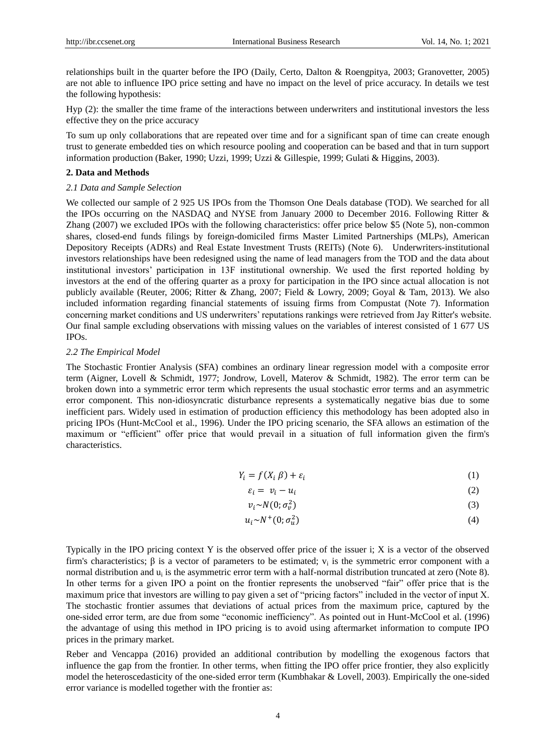relationships built in the quarter before the IPO (Daily, Certo, Dalton & Roengpitya, 2003; Granovetter, 2005) are not able to influence IPO price setting and have no impact on the level of price accuracy. In details we test the following hypothesis:

Hyp (2): the smaller the time frame of the interactions between underwriters and institutional investors the less effective they on the price accuracy

To sum up only collaborations that are repeated over time and for a significant span of time can create enough trust to generate embedded ties on which resource pooling and cooperation can be based and that in turn support information production (Baker, 1990; Uzzi, 1999; Uzzi & Gillespie, 1999; Gulati & Higgins, 2003).

## **2. Data and Methods**

#### *2.1 Data and Sample Selection*

We collected our sample of 2 925 US IPOs from the Thomson One Deals database (TOD). We searched for all the IPOs occurring on the NASDAQ and NYSE from January 2000 to December 2016. Following Ritter & Zhang (2007) we excluded IPOs with the following characteristics: offer price below \$5 (Note 5), non-common shares, closed-end funds filings by foreign-domiciled firms Master Limited Partnerships (MLPs), American Depository Receipts (ADRs) and Real Estate Investment Trusts (REITs) (Note 6). Underwriters-institutional investors relationships have been redesigned using the name of lead managers from the TOD and the data about institutional investors" participation in 13F institutional ownership. We used the first reported holding by investors at the end of the offering quarter as a proxy for participation in the IPO since actual allocation is not publicly available (Reuter, 2006; Ritter & Zhang, 2007; Field & Lowry, 2009; Goyal & Tam, 2013). We also included information regarding financial statements of issuing firms from Compustat (Note 7). Information concerning market conditions and US underwriters" reputations rankings were retrieved from Jay Ritter's website. Our final sample excluding observations with missing values on the variables of interest consisted of 1 677 US IPOs.

## *2.2 The Empirical Model*

The Stochastic Frontier Analysis (SFA) combines an ordinary linear regression model with a composite error term (Aigner, Lovell & Schmidt, 1977; Jondrow, Lovell, Materov & Schmidt, 1982). The error term can be broken down into a symmetric error term which represents the usual stochastic error terms and an asymmetric error component. This non-idiosyncratic disturbance represents a systematically negative bias due to some inefficient pars. Widely used in estimation of production efficiency this methodology has been adopted also in pricing IPOs (Hunt-McCool et al., 1996). Under the IPO pricing scenario, the SFA allows an estimation of the maximum or "efficient" offer price that would prevail in a situation of full information given the firm's characteristics.

$$
Y_i = f(X_i \beta) + \varepsilon_i \tag{1}
$$

$$
\varepsilon_i = v_i - u_i \tag{2}
$$

$$
v_i \sim N(0; \sigma_v^2) \tag{3}
$$

$$
u_i \sim N^+(0; \sigma_u^2) \tag{4}
$$

Typically in the IPO pricing context Y is the observed offer price of the issuer i; X is a vector of the observed firm's characteristics; β is a vector of parameters to be estimated;  $v_i$  is the symmetric error component with a normal distribution and  $u_i$  is the asymmetric error term with a half-normal distribution truncated at zero (Note 8). In other terms for a given IPO a point on the frontier represents the unobserved "fair" offer price that is the maximum price that investors are willing to pay given a set of "pricing factors" included in the vector of input X. The stochastic frontier assumes that deviations of actual prices from the maximum price, captured by the one-sided error term, are due from some "economic inefficiency". As pointed out in Hunt-McCool et al. (1996) the advantage of using this method in IPO pricing is to avoid using aftermarket information to compute IPO prices in the primary market.

Reber and Vencappa (2016) provided an additional contribution by modelling the exogenous factors that influence the gap from the frontier. In other terms, when fitting the IPO offer price frontier, they also explicitly model the heteroscedasticity of the one-sided error term (Kumbhakar & Lovell, 2003). Empirically the one-sided error variance is modelled together with the frontier as: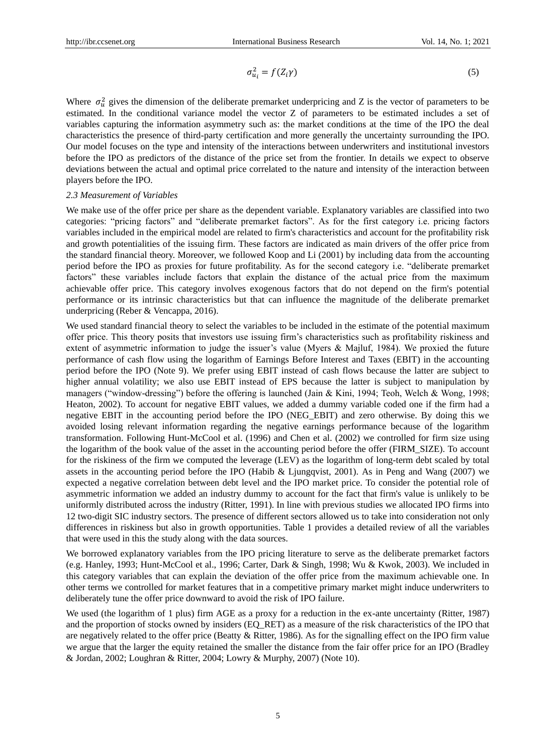$$
\sigma_{u_i}^2 = f(Z_i \gamma) \tag{5}
$$

Where  $\sigma_u^2$  gives the dimension of the deliberate premarket underpricing and Z is the vector of parameters to be estimated. In the conditional variance model the vector Z of parameters to be estimated includes a set of variables capturing the information asymmetry such as: the market conditions at the time of the IPO the deal characteristics the presence of third-party certification and more generally the uncertainty surrounding the IPO. Our model focuses on the type and intensity of the interactions between underwriters and institutional investors before the IPO as predictors of the distance of the price set from the frontier. In details we expect to observe deviations between the actual and optimal price correlated to the nature and intensity of the interaction between players before the IPO.

## *2.3 Measurement of Variables*

We make use of the offer price per share as the dependent variable. Explanatory variables are classified into two categories: "pricing factors" and "deliberate premarket factors". As for the first category i.e. pricing factors variables included in the empirical model are related to firm's characteristics and account for the profitability risk and growth potentialities of the issuing firm. These factors are indicated as main drivers of the offer price from the standard financial theory. Moreover, we followed Koop and Li (2001) by including data from the accounting period before the IPO as proxies for future profitability. As for the second category i.e. "deliberate premarket factors" these variables include factors that explain the distance of the actual price from the maximum achievable offer price. This category involves exogenous factors that do not depend on the firm's potential performance or its intrinsic characteristics but that can influence the magnitude of the deliberate premarket underpricing (Reber & Vencappa, 2016).

We used standard financial theory to select the variables to be included in the estimate of the potential maximum offer price. This theory posits that investors use issuing firm"s characteristics such as profitability riskiness and extent of asymmetric information to judge the issuer's value (Myers & Majluf, 1984). We proxied the future performance of cash flow using the logarithm of Earnings Before Interest and Taxes (EBIT) in the accounting period before the IPO (Note 9). We prefer using EBIT instead of cash flows because the latter are subject to higher annual volatility; we also use EBIT instead of EPS because the latter is subject to manipulation by managers ("window-dressing") before the offering is launched (Jain & Kini, 1994; Teoh, Welch & Wong, 1998; Heaton, 2002). To account for negative EBIT values, we added a dummy variable coded one if the firm had a negative EBIT in the accounting period before the IPO (NEG\_EBIT) and zero otherwise. By doing this we avoided losing relevant information regarding the negative earnings performance because of the logarithm transformation. Following Hunt-McCool et al. (1996) and Chen et al. (2002) we controlled for firm size using the logarithm of the book value of the asset in the accounting period before the offer (FIRM\_SIZE). To account for the riskiness of the firm we computed the leverage (LEV) as the logarithm of long-term debt scaled by total assets in the accounting period before the IPO (Habib & Ljungqvist, 2001). As in Peng and Wang (2007) we expected a negative correlation between debt level and the IPO market price. To consider the potential role of asymmetric information we added an industry dummy to account for the fact that firm's value is unlikely to be uniformly distributed across the industry (Ritter, 1991). In line with previous studies we allocated IPO firms into 12 two-digit SIC industry sectors. The presence of different sectors allowed us to take into consideration not only differences in riskiness but also in growth opportunities. Table 1 provides a detailed review of all the variables that were used in this the study along with the data sources.

We borrowed explanatory variables from the IPO pricing literature to serve as the deliberate premarket factors (e.g. Hanley, 1993; Hunt-McCool et al., 1996; Carter, Dark & Singh, 1998; Wu & Kwok, 2003). We included in this category variables that can explain the deviation of the offer price from the maximum achievable one. In other terms we controlled for market features that in a competitive primary market might induce underwriters to deliberately tune the offer price downward to avoid the risk of IPO failure.

We used (the logarithm of 1 plus) firm AGE as a proxy for a reduction in the ex-ante uncertainty (Ritter, 1987) and the proportion of stocks owned by insiders (EQ\_RET) as a measure of the risk characteristics of the IPO that are negatively related to the offer price (Beatty  $\&$  Ritter, 1986). As for the signalling effect on the IPO firm value we argue that the larger the equity retained the smaller the distance from the fair offer price for an IPO (Bradley & Jordan, 2002; Loughran & Ritter, 2004; Lowry & Murphy, 2007) (Note 10).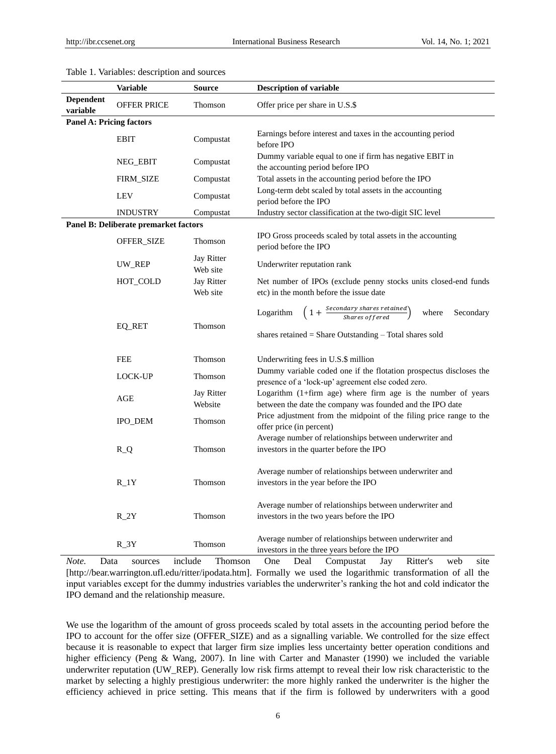|                                 | <b>Variable</b>                       | Source                 | <b>Description of variable</b>                                                                                                                                     |
|---------------------------------|---------------------------------------|------------------------|--------------------------------------------------------------------------------------------------------------------------------------------------------------------|
| <b>Dependent</b>                |                                       |                        |                                                                                                                                                                    |
| variable                        | <b>OFFER PRICE</b>                    | Thomson                | Offer price per share in U.S.\$                                                                                                                                    |
| <b>Panel A: Pricing factors</b> |                                       |                        |                                                                                                                                                                    |
|                                 | <b>EBIT</b>                           | Compustat              | Earnings before interest and taxes in the accounting period<br>before IPO                                                                                          |
|                                 | NEG_EBIT                              | Compustat              | Dummy variable equal to one if firm has negative EBIT in<br>the accounting period before IPO                                                                       |
|                                 | FIRM_SIZE                             | Compustat              | Total assets in the accounting period before the IPO                                                                                                               |
|                                 | <b>LEV</b>                            | Compustat              | Long-term debt scaled by total assets in the accounting<br>period before the IPO                                                                                   |
|                                 | <b>INDUSTRY</b>                       | Compustat              | Industry sector classification at the two-digit SIC level                                                                                                          |
|                                 | Panel B: Deliberate premarket factors |                        |                                                                                                                                                                    |
|                                 | OFFER_SIZE                            | Thomson                | IPO Gross proceeds scaled by total assets in the accounting<br>period before the IPO                                                                               |
|                                 | UW_REP                                | Jay Ritter<br>Web site | Underwriter reputation rank                                                                                                                                        |
|                                 | HOT_COLD                              | Jay Ritter<br>Web site | Net number of IPOs (exclude penny stocks units closed-end funds<br>etc) in the month before the issue date                                                         |
|                                 | EQ_RET                                | Thomson                | $\left(1+\frac{Secondary\ shares\ retained}{Shares\ offered}\right)$<br>Logarithm<br>Secondary<br>where<br>shares retained = Share Outstanding - Total shares sold |
|                                 | FEE                                   | Thomson                | Underwriting fees in U.S.\$ million                                                                                                                                |
|                                 | LOCK-UP                               | Thomson                | Dummy variable coded one if the flotation prospectus discloses the<br>presence of a 'lock-up' agreement else coded zero.                                           |
|                                 | AGE                                   | Jay Ritter<br>Website  | Logarithm (1+firm age) where firm age is the number of years<br>between the date the company was founded and the IPO date                                          |
|                                 | <b>IPO_DEM</b>                        | Thomson                | Price adjustment from the midpoint of the filing price range to the<br>offer price (in percent)                                                                    |
|                                 | $R_Q$                                 | Thomson                | Average number of relationships between underwriter and<br>investors in the quarter before the IPO                                                                 |
|                                 | $R_1Y$                                | Thomson                | Average number of relationships between underwriter and<br>investors in the year before the IPO                                                                    |
|                                 | $R_2Y$                                | Thomson                | Average number of relationships between underwriter and<br>investors in the two years before the IPO                                                               |
|                                 | $R_3Y$                                | Thomson                | Average number of relationships between underwriter and<br>investors in the three years before the IPO                                                             |

## Table 1. Variables: description and sources

*Note.* Data sources include Thomson One Deal Compustat Jay Ritter's web site [http://bear.warrington.ufl.edu/ritter/ipodata.htm]. Formally we used the logarithmic transformation of all the input variables except for the dummy industries variables the underwriter's ranking the hot and cold indicator the IPO demand and the relationship measure.

We use the logarithm of the amount of gross proceeds scaled by total assets in the accounting period before the IPO to account for the offer size (OFFER\_SIZE) and as a signalling variable. We controlled for the size effect because it is reasonable to expect that larger firm size implies less uncertainty better operation conditions and higher efficiency (Peng & Wang, 2007). In line with Carter and Manaster (1990) we included the variable underwriter reputation (UW\_REP). Generally low risk firms attempt to reveal their low risk characteristic to the market by selecting a highly prestigious underwriter: the more highly ranked the underwriter is the higher the efficiency achieved in price setting. This means that if the firm is followed by underwriters with a good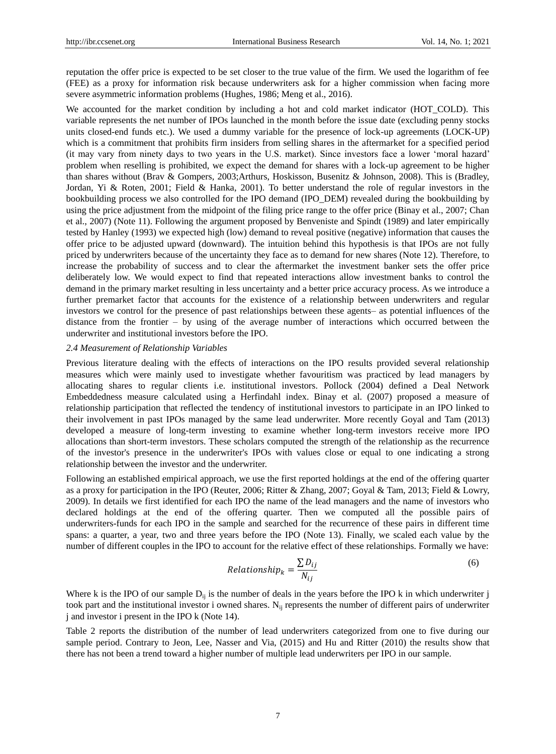reputation the offer price is expected to be set closer to the true value of the firm. We used the logarithm of fee (FEE) as a proxy for information risk because underwriters ask for a higher commission when facing more severe asymmetric information problems (Hughes, 1986; Meng et al., 2016).

We accounted for the market condition by including a hot and cold market indicator (HOT\_COLD). This variable represents the net number of IPOs launched in the month before the issue date (excluding penny stocks units closed-end funds etc.). We used a dummy variable for the presence of lock-up agreements (LOCK-UP) which is a commitment that prohibits firm insiders from selling shares in the aftermarket for a specified period (it may vary from ninety days to two years in the U.S. market). Since investors face a lower "moral hazard" problem when reselling is prohibited, we expect the demand for shares with a lock-up agreement to be higher than shares without (Brav & Gompers, 2003;Arthurs, Hoskisson, Busenitz & Johnson, 2008). This is (Bradley, Jordan, Yi & Roten, 2001; Field & Hanka, 2001). To better understand the role of regular investors in the bookbuilding process we also controlled for the IPO demand (IPO\_DEM) revealed during the bookbuilding by using the price adjustment from the midpoint of the filing price range to the offer price (Binay et al., 2007; Chan et al., 2007) (Note 11). Following the argument proposed by Benveniste and Spindt (1989) and later empirically tested by Hanley (1993) we expected high (low) demand to reveal positive (negative) information that causes the offer price to be adjusted upward (downward). The intuition behind this hypothesis is that IPOs are not fully priced by underwriters because of the uncertainty they face as to demand for new shares (Note 12). Therefore, to increase the probability of success and to clear the aftermarket the investment banker sets the offer price deliberately low. We would expect to find that repeated interactions allow investment banks to control the demand in the primary market resulting in less uncertainty and a better price accuracy process. As we introduce a further premarket factor that accounts for the existence of a relationship between underwriters and regular investors we control for the presence of past relationships between these agents– as potential influences of the distance from the frontier – by using of the average number of interactions which occurred between the underwriter and institutional investors before the IPO.

## *2.4 Measurement of Relationship Variables*

Previous literature dealing with the effects of interactions on the IPO results provided several relationship measures which were mainly used to investigate whether favouritism was practiced by lead managers by allocating shares to regular clients i.e. institutional investors. Pollock (2004) defined a Deal Network Embeddedness measure calculated using a Herfindahl index. Binay et al. (2007) proposed a measure of relationship participation that reflected the tendency of institutional investors to participate in an IPO linked to their involvement in past IPOs managed by the same lead underwriter. More recently Goyal and Tam (2013) developed a measure of long-term investing to examine whether long-term investors receive more IPO allocations than short-term investors. These scholars computed the strength of the relationship as the recurrence of the investor's presence in the underwriter's IPOs with values close or equal to one indicating a strong relationship between the investor and the underwriter.

Following an established empirical approach, we use the first reported holdings at the end of the offering quarter as a proxy for participation in the IPO (Reuter, 2006; Ritter & Zhang, 2007; Goyal & Tam, 2013; Field & Lowry, 2009). In details we first identified for each IPO the name of the lead managers and the name of investors who declared holdings at the end of the offering quarter. Then we computed all the possible pairs of underwriters-funds for each IPO in the sample and searched for the recurrence of these pairs in different time spans: a quarter, a year, two and three years before the IPO (Note 13). Finally, we scaled each value by the number of different couples in the IPO to account for the relative effect of these relationships. Formally we have:

$$
Relationship_{k} = \frac{\sum D_{ij}}{N_{ij}}\tag{6}
$$

Where k is the IPO of our sample  $D_{ij}$  is the number of deals in the years before the IPO k in which underwriter j took part and the institutional investor i owned shares. N<sub>ij</sub> represents the number of different pairs of underwriter j and investor i present in the IPO k (Note 14).

Table 2 reports the distribution of the number of lead underwriters categorized from one to five during our sample period. Contrary to Jeon, Lee, Nasser and Via, (2015) and Hu and Ritter (2010) the results show that there has not been a trend toward a higher number of multiple lead underwriters per IPO in our sample.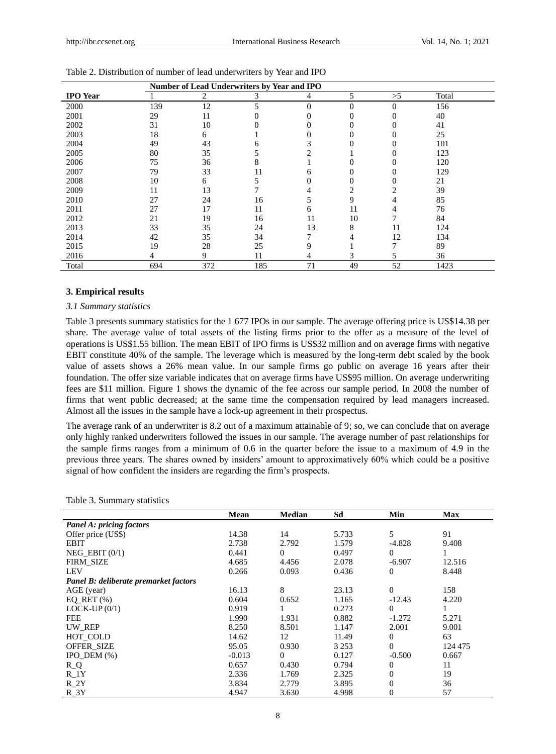|                 | Number of Lead Underwriters by Year and IPO |                |     |          |          |          |       |
|-----------------|---------------------------------------------|----------------|-----|----------|----------|----------|-------|
| <b>IPO</b> Year |                                             | $\overline{2}$ | 3   | 4        | 5        | >5       | Total |
| 2000            | 139                                         | 12             | 5   | $\theta$ | $\theta$ | $\Omega$ | 156   |
| 2001            | 29                                          | 11             | 0   | 0        | 0        | 0        | 40    |
| 2002            | 31                                          | 10             |     |          | 0        | 0        | 41    |
| 2003            | 18                                          | 6              |     |          | 0        |          | 25    |
| 2004            | 49                                          | 43             | h.  |          |          | 0        | 101   |
| 2005            | 80                                          | 35             |     |          |          | 0        | 123   |
| 2006            | 75                                          | 36             |     |          |          |          | 120   |
| 2007            | 79                                          | 33             | 11  | 6        |          |          | 129   |
| 2008            | 10                                          | 6              |     |          | 0        | 0        | 21    |
| 2009            | 11                                          | 13             |     |          | 2        |          | 39    |
| 2010            | 27                                          | 24             | 16  |          | 9        | 4        | 85    |
| 2011            | 27                                          | 17             | 11  | 6        | 11       | 4        | 76    |
| 2012            | 21                                          | 19             | 16  | 11       | 10       |          | 84    |
| 2013            | 33                                          | 35             | 24  | 13       | 8        | 11       | 124   |
| 2014            | 42                                          | 35             | 34  |          |          | 12       | 134   |
| 2015            | 19                                          | 28             | 25  | Q        |          |          | 89    |
| 2016            |                                             | 9              | 11  | 4        | 3        | 5        | 36    |
| Total           | 694                                         | 372            | 185 | 71       | 49       | 52       | 1423  |

|  | Table 2. Distribution of number of lead underwriters by Year and IPO |  |  |  |  |
|--|----------------------------------------------------------------------|--|--|--|--|
|--|----------------------------------------------------------------------|--|--|--|--|

#### **3. Empirical results**

## *3.1 Summary statistics*

Table 3 presents summary statistics for the 1 677 IPOs in our sample. The average offering price is US\$14.38 per share. The average value of total assets of the listing firms prior to the offer as a measure of the level of operations is US\$1.55 billion. The mean EBIT of IPO firms is US\$32 million and on average firms with negative EBIT constitute 40% of the sample. The leverage which is measured by the long-term debt scaled by the book value of assets shows a 26% mean value. In our sample firms go public on average 16 years after their foundation. The offer size variable indicates that on average firms have US\$95 million. On average underwriting fees are \$11 million. Figure 1 shows the dynamic of the fee across our sample period. In 2008 the number of firms that went public decreased; at the same time the compensation required by lead managers increased. Almost all the issues in the sample have a lock-up agreement in their prospectus.

The average rank of an underwriter is 8.2 out of a maximum attainable of 9; so, we can conclude that on average only highly ranked underwriters followed the issues in our sample. The average number of past relationships for the sample firms ranges from a minimum of 0.6 in the quarter before the issue to a maximum of 4.9 in the previous three years. The shares owned by insiders" amount to approximatively 60% which could be a positive signal of how confident the insiders are regarding the firm"s prospects.

|  | Table 3. Summary statistics |  |
|--|-----------------------------|--|
|--|-----------------------------|--|

|                                       | Mean     | <b>Median</b> | Sd      | Min      | <b>Max</b> |
|---------------------------------------|----------|---------------|---------|----------|------------|
| <b>Panel A: pricing factors</b>       |          |               |         |          |            |
| Offer price (US\$)                    | 14.38    | 14            | 5.733   | 5        | 91         |
| <b>EBIT</b>                           | 2.738    | 2.792         | 1.579   | $-4.828$ | 9.408      |
| NEG EBIT $(0/1)$                      | 0.441    | $\Omega$      | 0.497   | $\Omega$ |            |
| <b>FIRM SIZE</b>                      | 4.685    | 4.456         | 2.078   | $-6.907$ | 12.516     |
| <b>LEV</b>                            | 0.266    | 0.093         | 0.436   | $\Omega$ | 8.448      |
| Panel B: deliberate premarket factors |          |               |         |          |            |
| AGE (year)                            | 16.13    | 8             | 23.13   | $\Omega$ | 158        |
| EQ_RET $(\% )$                        | 0.604    | 0.652         | 1.165   | $-12.43$ | 4.220      |
| $LOCK$ -UP $(0/1)$                    | 0.919    |               | 0.273   | $\Omega$ |            |
| <b>FEE</b>                            | 1.990    | 1.931         | 0.882   | $-1.272$ | 5.271      |
| UW REP                                | 8.250    | 8.501         | 1.147   | 2.001    | 9.001      |
| HOT COLD                              | 14.62    | 12            | 11.49   | $\theta$ | 63         |
| OFFER_SIZE                            | 95.05    | 0.930         | 3 2 5 3 | $\Omega$ | 124 475    |
| IPO DEM $(\%)$                        | $-0.013$ | $\Omega$      | 0.127   | $-0.500$ | 0.667      |
| $R_Q$                                 | 0.657    | 0.430         | 0.794   | $\theta$ | 11         |
| $R_1Y$                                | 2.336    | 1.769         | 2.325   | 0        | 19         |
| $R_2Y$                                | 3.834    | 2.779         | 3.895   | 0        | 36         |
| $R_3Y$                                | 4.947    | 3.630         | 4.998   | 0        | 57         |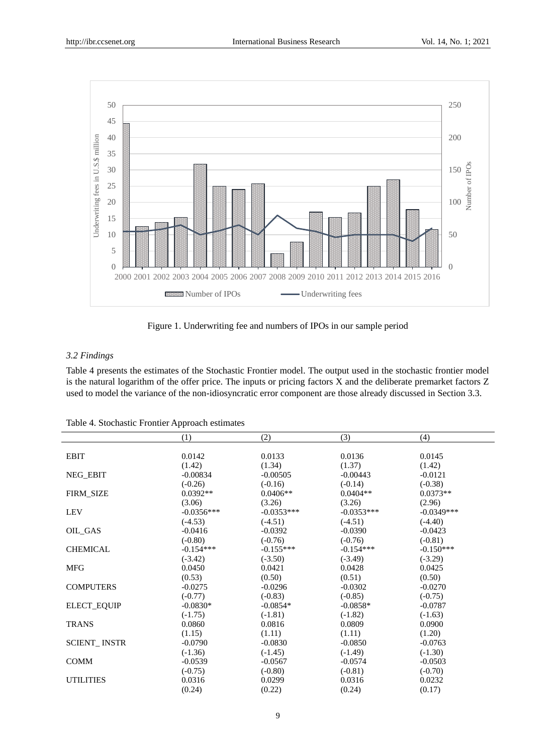

Figure 1. Underwriting fee and numbers of IPOs in our sample period

## *3.2 Findings*

Table 4 presents the estimates of the Stochastic Frontier model. The output used in the stochastic frontier model is the natural logarithm of the offer price. The inputs or pricing factors X and the deliberate premarket factors Z used to model the variance of the non-idiosyncratic error component are those already discussed in Section 3.3.

|  | Table 4. Stochastic Frontier Approach estimates |  |  |  |
|--|-------------------------------------------------|--|--|--|
|--|-------------------------------------------------|--|--|--|

|                     | (1)          | (2)          | (3)          | (4)          |
|---------------------|--------------|--------------|--------------|--------------|
|                     |              |              |              |              |
| <b>EBIT</b>         | 0.0142       | 0.0133       | 0.0136       | 0.0145       |
|                     | (1.42)       | (1.34)       | (1.37)       | (1.42)       |
| <b>NEG_EBIT</b>     | $-0.00834$   | $-0.00505$   | $-0.00443$   | $-0.0121$    |
|                     | $(-0.26)$    | $(-0.16)$    | $(-0.14)$    | $(-0.38)$    |
| <b>FIRM SIZE</b>    | $0.0392**$   | $0.0406**$   | $0.0404**$   | $0.0373**$   |
|                     | (3.06)       | (3.26)       | (3.26)       | (2.96)       |
| <b>LEV</b>          | $-0.0356***$ | $-0.0353***$ | $-0.0353***$ | $-0.0349***$ |
|                     | $(-4.53)$    | $(-4.51)$    | $(-4.51)$    | $(-4.40)$    |
| OIL GAS             | $-0.0416$    | $-0.0392$    | $-0.0390$    | $-0.0423$    |
|                     | $(-0.80)$    | $(-0.76)$    | $(-0.76)$    | $(-0.81)$    |
| <b>CHEMICAL</b>     | $-0.154***$  | $-0.155***$  | $-0.154***$  | $-0.150***$  |
|                     | $(-3.42)$    | $(-3.50)$    | $(-3.49)$    | $(-3.29)$    |
| <b>MFG</b>          | 0.0450       | 0.0421       | 0.0428       | 0.0425       |
|                     | (0.53)       | (0.50)       | (0.51)       | (0.50)       |
| <b>COMPUTERS</b>    | $-0.0275$    | $-0.0296$    | $-0.0302$    | $-0.0270$    |
|                     | $(-0.77)$    | $(-0.83)$    | $(-0.85)$    | $(-0.75)$    |
| <b>ELECT_EQUIP</b>  | $-0.0830*$   | $-0.0854*$   | $-0.0858*$   | $-0.0787$    |
|                     | $(-1.75)$    | $(-1.81)$    | $(-1.82)$    | $(-1.63)$    |
| <b>TRANS</b>        | 0.0860       | 0.0816       | 0.0809       | 0.0900       |
|                     | (1.15)       | (1.11)       | (1.11)       | (1.20)       |
| <b>SCIENT_INSTR</b> | $-0.0790$    | $-0.0830$    | $-0.0850$    | $-0.0763$    |
|                     | $(-1.36)$    | $(-1.45)$    | $(-1.49)$    | $(-1.30)$    |
| <b>COMM</b>         | $-0.0539$    | $-0.0567$    | $-0.0574$    | $-0.0503$    |
|                     | $(-0.75)$    | $(-0.80)$    | $(-0.81)$    | $(-0.70)$    |
| <b>UTILITIES</b>    | 0.0316       | 0.0299       | 0.0316       | 0.0232       |
|                     | (0.24)       | (0.22)       | (0.24)       | (0.17)       |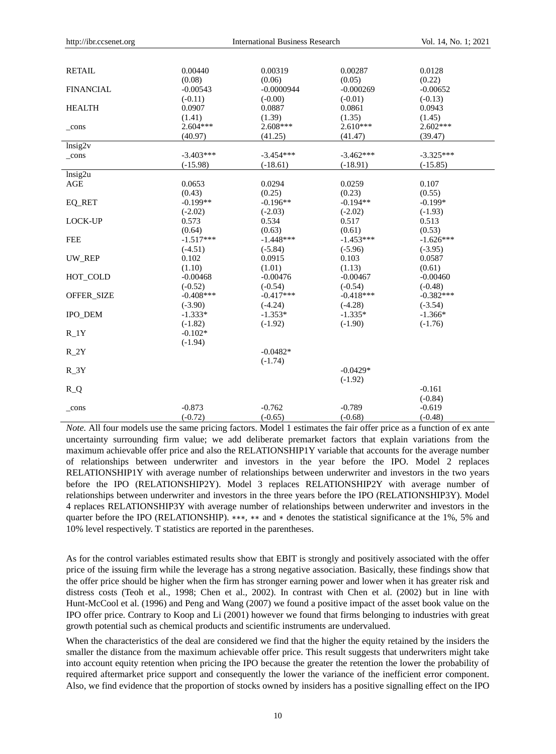| <b>RETAIL</b>    | 0.00440<br>(0.08) | 0.00319<br>(0.06) | 0.00287<br>(0.05) | 0.0128<br>(0.22) |
|------------------|-------------------|-------------------|-------------------|------------------|
| <b>FINANCIAL</b> | $-0.00543$        | $-0.0000944$      | $-0.000269$       | $-0.00652$       |
|                  | $(-0.11)$         | $(-0.00)$         | $(-0.01)$         | $(-0.13)$        |
| <b>HEALTH</b>    | 0.0907            | 0.0887            | 0.0861            | 0.0943           |
|                  | (1.41)            | (1.39)            | (1.35)            | (1.45)           |
| $_{cons}$        | $2.604***$        | $2.608***$        | $2.610***$        | $2.602***$       |
|                  | (40.97)           | (41.25)           | (41.47)           | (39.47)          |
| lnsig2v          |                   |                   |                   |                  |
| $_{cons}$        | $-3.403***$       | $-3.454***$       | $-3.462***$       | $-3.325***$      |
|                  | $(-15.98)$        | $(-18.61)$        | $(-18.91)$        | $(-15.85)$       |
| lnsig2u          |                   |                   |                   |                  |
| AGE              | 0.0653            | 0.0294            | 0.0259            | 0.107            |
|                  | (0.43)            | (0.25)            | (0.23)            | (0.55)           |
| EQ_RET           | $-0.199**$        | $-0.196**$        | $-0.194**$        | $-0.199*$        |
|                  | $(-2.02)$         | $(-2.03)$         | $(-2.02)$         | $(-1.93)$        |
| <b>LOCK-UP</b>   | 0.573             | 0.534             | 0.517             | 0.513            |
|                  | (0.64)            | (0.63)            | (0.61)            | (0.53)           |
| <b>FEE</b>       | $-1.517***$       | $-1.448***$       | $-1.453***$       | $-1.626***$      |
|                  | $(-4.51)$         | $(-5.84)$         | $(-5.96)$         | $(-3.95)$        |
| UW REP           | 0.102             | 0.0915            | 0.103             | 0.0587           |
|                  | (1.10)            | (1.01)            | (1.13)            | (0.61)           |
| HOT_COLD         | $-0.00468$        | $-0.00476$        | $-0.00467$        | $-0.00460$       |
|                  | $(-0.52)$         | $(-0.54)$         | $(-0.54)$         | $(-0.48)$        |
| OFFER_SIZE       | $-0.408***$       | $-0.417***$       | $-0.418***$       | $-0.382***$      |
|                  | $(-3.90)$         | $(-4.24)$         | $(-4.28)$         | $(-3.54)$        |
| <b>IPO DEM</b>   | $-1.333*$         | $-1.353*$         | $-1.335*$         | $-1.366*$        |
|                  | $(-1.82)$         | $(-1.92)$         | $(-1.90)$         | $(-1.76)$        |
| $R_1Y$           | $-0.102*$         |                   |                   |                  |
|                  | $(-1.94)$         |                   |                   |                  |
| $R_2Y$           |                   | $-0.0482*$        |                   |                  |
|                  |                   | $(-1.74)$         |                   |                  |
| $R_3Y$           |                   |                   | $-0.0429*$        |                  |
|                  |                   |                   | $(-1.92)$         |                  |
| $R_Q$            |                   |                   |                   | $-0.161$         |
|                  |                   |                   |                   | $(-0.84)$        |
| $_{\rm cons}$    | $-0.873$          | $-0.762$          | $-0.789$          | $-0.619$         |
|                  | $(-0.72)$         | $(-0.65)$         | $(-0.68)$         | $(-0.48)$        |

*Note.* All four models use the same pricing factors. Model 1 estimates the fair offer price as a function of ex ante uncertainty surrounding firm value; we add deliberate premarket factors that explain variations from the maximum achievable offer price and also the RELATIONSHIP1Y variable that accounts for the average number of relationships between underwriter and investors in the year before the IPO. Model 2 replaces RELATIONSHIP1Y with average number of relationships between underwriter and investors in the two years before the IPO (RELATIONSHIP2Y). Model 3 replaces RELATIONSHIP2Y with average number of relationships between underwriter and investors in the three years before the IPO (RELATIONSHIP3Y). Model 4 replaces RELATIONSHIP3Y with average number of relationships between underwriter and investors in the quarter before the IPO (RELATIONSHIP). \*\*\*, \*\* and \* denotes the statistical significance at the 1%, 5% and 10% level respectively. T statistics are reported in the parentheses.

As for the control variables estimated results show that EBIT is strongly and positively associated with the offer price of the issuing firm while the leverage has a strong negative association. Basically, these findings show that the offer price should be higher when the firm has stronger earning power and lower when it has greater risk and distress costs (Teoh et al., 1998; Chen et al., 2002). In contrast with Chen et al. (2002) but in line with Hunt-McCool et al. (1996) and Peng and Wang (2007) we found a positive impact of the asset book value on the IPO offer price. Contrary to Koop and Li (2001) however we found that firms belonging to industries with great growth potential such as chemical products and scientific instruments are undervalued.

When the characteristics of the deal are considered we find that the higher the equity retained by the insiders the smaller the distance from the maximum achievable offer price. This result suggests that underwriters might take into account equity retention when pricing the IPO because the greater the retention the lower the probability of required aftermarket price support and consequently the lower the variance of the inefficient error component. Also, we find evidence that the proportion of stocks owned by insiders has a positive signalling effect on the IPO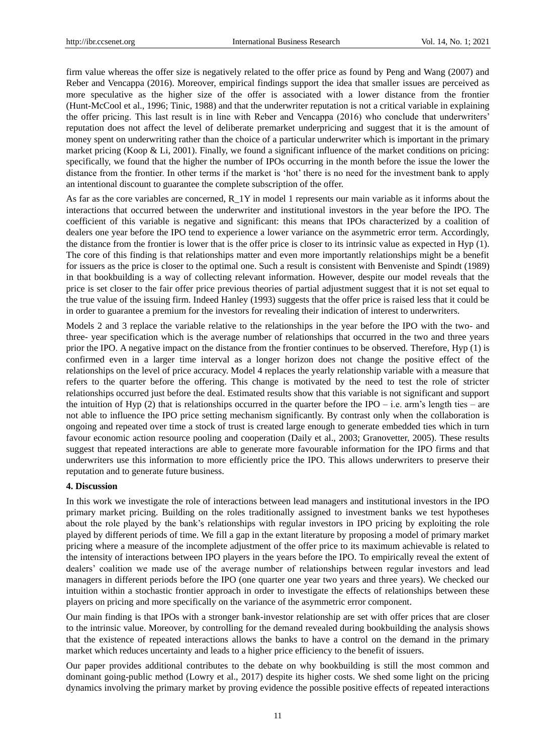firm value whereas the offer size is negatively related to the offer price as found by Peng and Wang (2007) and Reber and Vencappa (2016). Moreover, empirical findings support the idea that smaller issues are perceived as more speculative as the higher size of the offer is associated with a lower distance from the frontier (Hunt-McCool et al., 1996; Tinic, 1988) and that the underwriter reputation is not a critical variable in explaining the offer pricing. This last result is in line with Reber and Vencappa (2016) who conclude that underwriters" reputation does not affect the level of deliberate premarket underpricing and suggest that it is the amount of money spent on underwriting rather than the choice of a particular underwriter which is important in the primary market pricing (Koop & Li, 2001). Finally, we found a significant influence of the market conditions on pricing: specifically, we found that the higher the number of IPOs occurring in the month before the issue the lower the distance from the frontier. In other terms if the market is "hot" there is no need for the investment bank to apply an intentional discount to guarantee the complete subscription of the offer.

As far as the core variables are concerned, R\_1Y in model 1 represents our main variable as it informs about the interactions that occurred between the underwriter and institutional investors in the year before the IPO. The coefficient of this variable is negative and significant: this means that IPOs characterized by a coalition of dealers one year before the IPO tend to experience a lower variance on the asymmetric error term. Accordingly, the distance from the frontier is lower that is the offer price is closer to its intrinsic value as expected in Hyp (1). The core of this finding is that relationships matter and even more importantly relationships might be a benefit for issuers as the price is closer to the optimal one. Such a result is consistent with Benveniste and Spindt (1989) in that bookbuilding is a way of collecting relevant information. However, despite our model reveals that the price is set closer to the fair offer price previous theories of partial adjustment suggest that it is not set equal to the true value of the issuing firm. Indeed Hanley (1993) suggests that the offer price is raised less that it could be in order to guarantee a premium for the investors for revealing their indication of interest to underwriters.

Models 2 and 3 replace the variable relative to the relationships in the year before the IPO with the two- and three- year specification which is the average number of relationships that occurred in the two and three years prior the IPO. A negative impact on the distance from the frontier continues to be observed. Therefore, Hyp (1) is confirmed even in a larger time interval as a longer horizon does not change the positive effect of the relationships on the level of price accuracy. Model 4 replaces the yearly relationship variable with a measure that refers to the quarter before the offering. This change is motivated by the need to test the role of stricter relationships occurred just before the deal. Estimated results show that this variable is not significant and support the intuition of Hyp (2) that is relationships occurred in the quarter before the IPO – i.e. arm's length ties – are not able to influence the IPO price setting mechanism significantly. By contrast only when the collaboration is ongoing and repeated over time a stock of trust is created large enough to generate embedded ties which in turn favour economic action resource pooling and cooperation (Daily et al., 2003; Granovetter, 2005). These results suggest that repeated interactions are able to generate more favourable information for the IPO firms and that underwriters use this information to more efficiently price the IPO. This allows underwriters to preserve their reputation and to generate future business.

## **4. Discussion**

In this work we investigate the role of interactions between lead managers and institutional investors in the IPO primary market pricing. Building on the roles traditionally assigned to investment banks we test hypotheses about the role played by the bank"s relationships with regular investors in IPO pricing by exploiting the role played by different periods of time. We fill a gap in the extant literature by proposing a model of primary market pricing where a measure of the incomplete adjustment of the offer price to its maximum achievable is related to the intensity of interactions between IPO players in the years before the IPO. To empirically reveal the extent of dealers" coalition we made use of the average number of relationships between regular investors and lead managers in different periods before the IPO (one quarter one year two years and three years). We checked our intuition within a stochastic frontier approach in order to investigate the effects of relationships between these players on pricing and more specifically on the variance of the asymmetric error component.

Our main finding is that IPOs with a stronger bank-investor relationship are set with offer prices that are closer to the intrinsic value. Moreover, by controlling for the demand revealed during bookbuilding the analysis shows that the existence of repeated interactions allows the banks to have a control on the demand in the primary market which reduces uncertainty and leads to a higher price efficiency to the benefit of issuers.

Our paper provides additional contributes to the debate on why bookbuilding is still the most common and dominant going-public method (Lowry et al., 2017) despite its higher costs. We shed some light on the pricing dynamics involving the primary market by proving evidence the possible positive effects of repeated interactions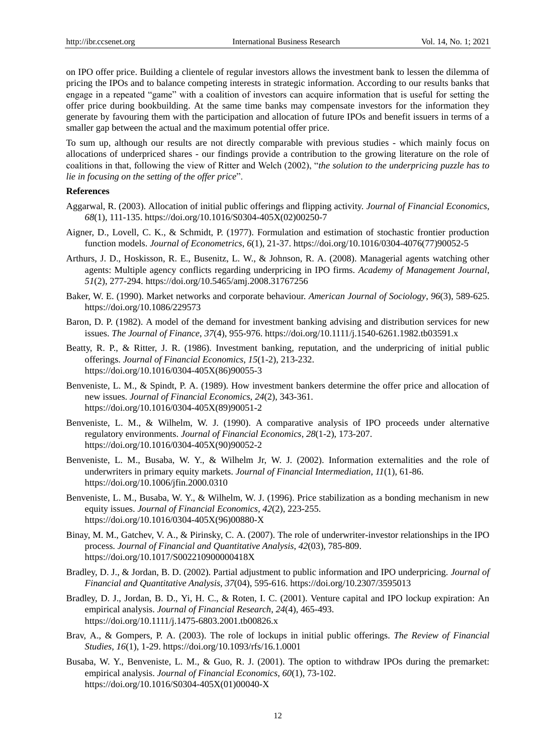on IPO offer price. Building a clientele of regular investors allows the investment bank to lessen the dilemma of pricing the IPOs and to balance competing interests in strategic information. According to our results banks that engage in a repeated "game" with a coalition of investors can acquire information that is useful for setting the offer price during bookbuilding. At the same time banks may compensate investors for the information they generate by favouring them with the participation and allocation of future IPOs and benefit issuers in terms of a smaller gap between the actual and the maximum potential offer price.

To sum up, although our results are not directly comparable with previous studies - which mainly focus on allocations of underpriced shares - our findings provide a contribution to the growing literature on the role of coalitions in that, following the view of Ritter and Welch (2002), "*the solution to the underpricing puzzle has to lie in focusing on the setting of the offer price*".

## **References**

- Aggarwal, R. (2003). Allocation of initial public offerings and flipping activity. *Journal of Financial Economics*, *68*(1), 111-135. [https://doi.org/10.1016/S0304-405X\(02\)00250-7](https://doi.org/10.1016/S0304-405X(02)00250-7)
- Aigner, D., Lovell, C. K., & Schmidt, P. (1977). Formulation and estimation of stochastic frontier production function models. *Journal of Econometrics*, *6*(1), 21-37[. https://doi.org/10.1016/0304-4076\(77\)90052-5](https://doi.org/10.1016/0304-4076(77)90052-5)
- Arthurs, J. D., Hoskisson, R. E., Busenitz, L. W., & Johnson, R. A. (2008). Managerial agents watching other agents: Multiple agency conflicts regarding underpricing in IPO firms. *Academy of Management Journal*, *51*(2), 277-294.<https://doi.org/10.5465/amj.2008.31767256>
- Baker, W. E. (1990). Market networks and corporate behaviour. *American Journal of Sociology*, *96*(3), 589-625. <https://doi.org/10.1086/229573>
- Baron, D. P. (1982). A model of the demand for investment banking advising and distribution services for new issues. *The Journal of Finance*, *37*(4), 955-976.<https://doi.org/10.1111/j.1540-6261.1982.tb03591.x>
- Beatty, R. P., & Ritter, J. R. (1986). Investment banking, reputation, and the underpricing of initial public offerings. *Journal of Financial Economics*, *15*(1-2), 213-232. [https://doi.org/10.1016/0304-405X\(86\)90055-3](https://doi.org/10.1016/0304-405X(86)90055-3)
- Benveniste, L. M., & Spindt, P. A. (1989). How investment bankers determine the offer price and allocation of new issues. *Journal of Financial Economics*, *24*(2), 343-361. [https://doi.org/10.1016/0304-405X\(89\)90051-2](https://doi.org/10.1016/0304-405X(89)90051-2)
- Benveniste, L. M., & Wilhelm, W. J. (1990). A comparative analysis of IPO proceeds under alternative regulatory environments. *Journal of Financial Economics*, *28*(1-2), 173-207. [https://doi.org/10.1016/0304-405X\(90\)90052-2](https://doi.org/10.1016/0304-405X(90)90052-2)
- Benveniste, L. M., Busaba, W. Y., & Wilhelm Jr, W. J. (2002). Information externalities and the role of underwriters in primary equity markets. *Journal of Financial Intermediation*, *11*(1), 61-86. <https://doi.org/10.1006/jfin.2000.0310>
- Benveniste, L. M., Busaba, W. Y., & Wilhelm, W. J. (1996). Price stabilization as a bonding mechanism in new equity issues. *Journal of Financial Economics*, *42*(2), 223-255. [https://doi.org/10.1016/0304-405X\(96\)00880-X](https://doi.org/10.1016/0304-405X(96)00880-X)
- Binay, M. M., Gatchev, V. A., & Pirinsky, C. A. (2007). The role of underwriter-investor relationships in the IPO process. *Journal of Financial and Quantitative Analysis*, *42*(03), 785-809. <https://doi.org/10.1017/S002210900000418X>
- Bradley, D. J., & Jordan, B. D. (2002). Partial adjustment to public information and IPO underpricing. *Journal of Financial and Quantitative Analysis*, *37*(04), 595-616.<https://doi.org/10.2307/3595013>
- Bradley, D. J., Jordan, B. D., Yi, H. C., & Roten, I. C. (2001). Venture capital and IPO lockup expiration: An empirical analysis. *Journal of Financial Research*, *24*(4), 465-493. <https://doi.org/10.1111/j.1475-6803.2001.tb00826.x>
- Brav, A., & Gompers, P. A. (2003). The role of lockups in initial public offerings. *The Review of Financial Studies*, *16*(1), 1-29.<https://doi.org/10.1093/rfs/16.1.0001>
- Busaba, W. Y., Benveniste, L. M., & Guo, R. J. (2001). The option to withdraw IPOs during the premarket: empirical analysis. *Journal of Financial Economics*, *60*(1), 73-102. [https://doi.org/10.1016/S0304-405X\(01\)00040-X](https://doi.org/10.1016/S0304-405X(01)00040-X)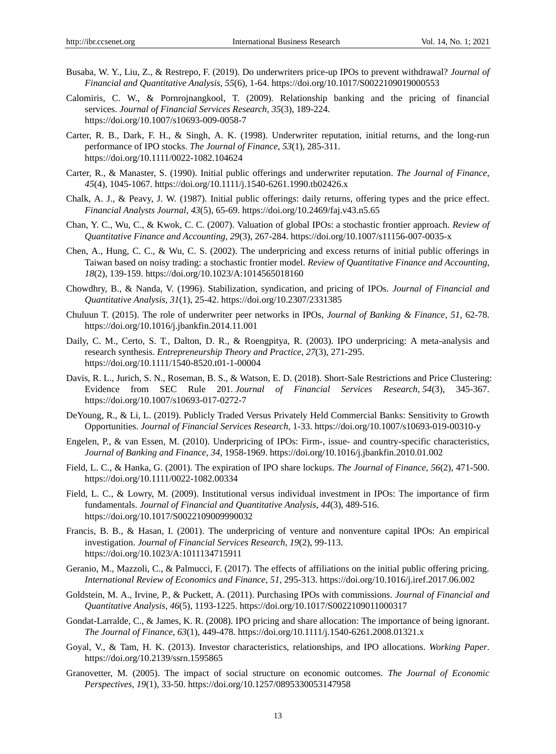- Busaba, W. Y., Liu, Z., & Restrepo, F. (2019). Do underwriters price-up IPOs to prevent withdrawal? *[Journal of](https://www.researchgate.net/journal/0022-1090_Journal_of_Financial_and_Quantitative_Analysis)  [Financial and Quantitative Analysis](https://www.researchgate.net/journal/0022-1090_Journal_of_Financial_and_Quantitative_Analysis)*, *55*(6), 1-64. https://doi.org[/10.1017/S0022109019000553](https://www.researchgate.net/deref/http%3A%2F%2Fdx.doi.org%2F10.1017%2FS0022109019000553)
- Calomiris, C. W., & Pornrojnangkool, T. (2009). Relationship banking and the pricing of financial services. *Journal of Financial Services Research*, *35*(3), 189-224. <https://doi.org/10.1007/s10693-009-0058-7>
- Carter, R. B., Dark, F. H., & Singh, A. K. (1998). Underwriter reputation, initial returns, and the long-run performance of IPO stocks. *The Journal of Finance*, *53*(1), 285-311. <https://doi.org/10.1111/0022-1082.104624>
- Carter, R., & Manaster, S. (1990). Initial public offerings and underwriter reputation. *The Journal of Finance*, *45*(4), 1045-1067.<https://doi.org/10.1111/j.1540-6261.1990.tb02426.x>
- Chalk, A. J., & Peavy, J. W. (1987). Initial public offerings: daily returns, offering types and the price effect. *Financial Analysts Journal*, *43*(5), 65-69[. https://doi.org/10.2469/faj.v43.n5.65](https://doi.org/10.2469/faj.v43.n5.65)
- Chan, Y. C., Wu, C., & Kwok, C. C. (2007). Valuation of global IPOs: a stochastic frontier approach. *Review of Quantitative Finance and Accounting*, *29*(3), 267-284[. https://doi.org/10.1007/s11156-007-0035-x](https://doi.org/10.1007/s11156-007-0035-x)
- Chen, A., Hung, C. C., & Wu, C. S. (2002). The underpricing and excess returns of initial public offerings in Taiwan based on noisy trading: a stochastic frontier model. *Review of Quantitative Finance and Accounting*, *18*(2), 139-159.<https://doi.org/10.1023/A:1014565018160>
- Chowdhry, B., & Nanda, V. (1996). Stabilization, syndication, and pricing of IPOs. *Journal of Financial and Quantitative Analysis*, *31*(1), 25-42.<https://doi.org/10.2307/2331385>
- Chuluun T. (2015). The role of underwriter peer networks in IPOs, *Journal of Banking & Finance*, *51,* 62-78. <https://doi.org/10.1016/j.jbankfin.2014.11.001>
- Daily, C. M., Certo, S. T., Dalton, D. R., & Roengpitya, R. (2003). IPO underpricing: A meta-analysis and research synthesis. *Entrepreneurship Theory and Practice*, *27*(3), 271-295. <https://doi.org/10.1111/1540-8520.t01-1-00004>
- Davis, R. L., Jurich, S. N., Roseman, B. S., & Watson, E. D. (2018). Short-Sale Restrictions and Price Clustering: Evidence from SEC Rule 201. *Journal of Financial Services Research*, *54*(3), 345-367. <https://doi.org/10.1007/s10693-017-0272-7>
- DeYoung, R., & Li, L. (2019). Publicly Traded Versus Privately Held Commercial Banks: Sensitivity to Growth Opportunities. *Journal of Financial Services Research*, 1-33.<https://doi.org/10.1007/s10693-019-00310-y>
- Engelen, P., & van Essen, M. (2010). Underpricing of IPOs: Firm-, issue- and country-specific characteristics, *Journal of Banking and Finance*, *34,* 1958-1969.<https://doi.org/10.1016/j.jbankfin.2010.01.002>
- Field, L. C., & Hanka, G. (2001). The expiration of IPO share lockups. *The Journal of Finance*, *56*(2), 471-500. <https://doi.org/10.1111/0022-1082.00334>
- Field, L. C., & Lowry, M. (2009). Institutional versus individual investment in IPOs: The importance of firm fundamentals. *Journal of Financial and Quantitative Analysis*, *44*(3), 489-516. <https://doi.org/10.1017/S0022109009990032>
- Francis, B. B., & Hasan, I. (2001). The underpricing of venture and nonventure capital IPOs: An empirical investigation. *Journal of Financial Services Research*, *19*(2), 99-113. <https://doi.org/10.1023/A:1011134715911>
- Geranio, M., Mazzoli, C., & Palmucci, F. (2017). The effects of affiliations on the initial public offering pricing. *International Review of Economics and Finance*, *51,* 295-313.<https://doi.org/10.1016/j.iref.2017.06.002>
- Goldstein, M. A., Irvine, P., & Puckett, A. (2011). Purchasing IPOs with commissions. *Journal of Financial and Quantitative Analysis*, *46*(5), 1193-1225[. https://doi.org/10.1017/S0022109011000317](https://doi.org/10.1017/S0022109011000317)
- Gondat-Larralde, C., & James, K. R. (2008). IPO pricing and share allocation: The importance of being ignorant. *The Journal of Finance*, *63*(1), 449-478.<https://doi.org/10.1111/j.1540-6261.2008.01321.x>
- Goyal, V., & Tam, H. K. (2013). Investor characteristics, relationships, and IPO allocations. *Working Paper*. <https://doi.org/10.2139/ssrn.1595865>
- Granovetter, M. (2005). The impact of social structure on economic outcomes. *The Journal of Economic Perspectives*, *19*(1), 33-50. <https://doi.org/10.1257/0895330053147958>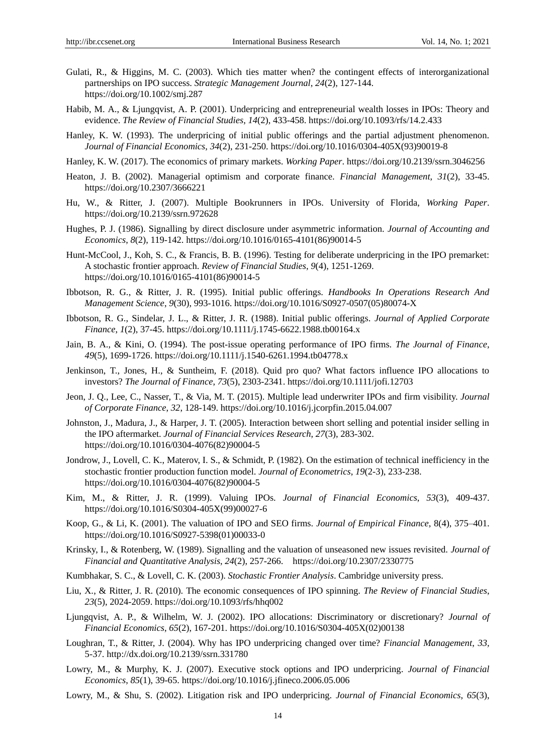- Gulati, R., & Higgins, M. C. (2003). Which ties matter when? the contingent effects of interorganizational partnerships on IPO success. *Strategic Management Journal*, *24*(2), 127-144. <https://doi.org/10.1002/smj.287>
- Habib, M. A., & Ljungqvist, A. P. (2001). Underpricing and entrepreneurial wealth losses in IPOs: Theory and evidence. *The Review of Financial Studies*, *14*(2), 433-458.<https://doi.org/10.1093/rfs/14.2.433>
- Hanley, K. W. (1993). The underpricing of initial public offerings and the partial adjustment phenomenon. *Journal of Financial Economics*, *34*(2), 231-250. [https://doi.org/10.1016/0304-405X\(93\)90019-8](https://doi.org/10.1016/0304-405X(93)90019-8)
- Hanley, K. W. (2017). The economics of primary markets. *Working Paper*. https://doi.org[/10.2139/ssrn.3046256](https://www.researchgate.net/deref/http%3A%2F%2Fdx.doi.org%2F10.2139%2Fssrn.3046256)
- Heaton, J. B. (2002). Managerial optimism and corporate finance. *Financial Management*, *31*(2), 33-45. <https://doi.org/10.2307/3666221>
- Hu, W., & Ritter, J. (2007). Multiple Bookrunners in IPOs. University of Florida, *Working Paper*. https://doi.org[/10.2139/ssrn.972628](https://www.researchgate.net/deref/http%3A%2F%2Fdx.doi.org%2F10.2139%2Fssrn.972628)
- Hughes, P. J. (1986). Signalling by direct disclosure under asymmetric information. *Journal of Accounting and Economics*, *8*(2), 119-142. [https://doi.org/10.1016/0165-4101\(86\)90014-5](https://doi.org/10.1016/0165-4101(86)90014-5)
- Hunt-McCool, J., Koh, S. C., & Francis, B. B. (1996). Testing for deliberate underpricing in the IPO premarket: A stochastic frontier approach. *Review of Financial Studies*, *9*(4), 1251-1269. [https://doi.org/10.1016/0165-4101\(86\)90014-5](https://doi.org/10.1016/0165-4101(86)90014-5)
- Ibbotson, R. G., & Ritter, J. R. (1995). Initial public offerings. *Handbooks In Operations Research And Management Science*, *9*(30), 993-1016. [https://doi.org/10.1016/S0927-0507\(05\)80074-X](https://doi.org/10.1016/S0927-0507(05)80074-X)
- Ibbotson, R. G., Sindelar, J. L., & Ritter, J. R. (1988). Initial public offerings. *Journal of Applied Corporate Finance*, *1*(2), 37-45. <https://doi.org/10.1111/j.1745-6622.1988.tb00164.x>
- Jain, B. A., & Kini, O. (1994). The post-issue operating performance of IPO firms. *The Journal of Finance*, *49*(5), 1699-1726.<https://doi.org/10.1111/j.1540-6261.1994.tb04778.x>
- Jenkinson, T., Jones, H., & Suntheim, F. (2018). Quid pro quo? What factors influence IPO allocations to investors? *The Journal of Finance*, *73*(5), 2303-2341.<https://doi.org/10.1111/jofi.12703>
- Jeon, J. Q., Lee, C., Nasser, T., & Via, M. T. (2015). Multiple lead underwriter IPOs and firm visibility. *Journal of Corporate Finance*, *32*, 128-149.<https://doi.org/10.1016/j.jcorpfin.2015.04.007>
- Johnston, J., Madura, J., & Harper, J. T. (2005). Interaction between short selling and potential insider selling in the IPO aftermarket. *Journal of Financial Services Research*, *27*(3), 283-302. [https://doi.org/10.1016/0304-4076\(82\)90004-5](https://doi.org/10.1016/0304-4076(82)90004-5)
- Jondrow, J., Lovell, C. K., Materov, I. S., & Schmidt, P. (1982). On the estimation of technical inefficiency in the stochastic frontier production function model. *Journal of Econometrics*, *19*(2-3), 233-238. [https://doi.org/10.1016/0304-4076\(82\)90004-5](https://doi.org/10.1016/0304-4076(82)90004-5)
- Kim, M., & Ritter, J. R. (1999). Valuing IPOs. *Journal of Financial Economics*, *53*(3), 409-437. [https://doi.org/10.1016/S0304-405X\(99\)00027-6](https://doi.org/10.1016/S0304-405X(99)00027-6)
- Koop, G., & Li, K. (2001). The valuation of IPO and SEO firms. *Journal of Empirical Finance*, 8(4), 375–401. [https://doi.org/10.1016/S0927-5398\(01\)00033-0](https://doi.org/10.1016/S0927-5398(01)00033-0)
- Krinsky, I., & Rotenberg, W. (1989). Signalling and the valuation of unseasoned new issues revisited. *Journal of Financial and Quantitative Analysis*, *24*(2), 257-266. <https://doi.org/10.2307/2330775>
- Kumbhakar, S. C., & Lovell, C. K. (2003). *Stochastic Frontier Analysis*. Cambridge university press.
- Liu, X., & Ritter, J. R. (2010). The economic consequences of IPO spinning. *The Review of Financial Studies*, *23*(5), 2024-2059. <https://doi.org/10.1093/rfs/hhq002>
- Ljungqvist, A. P., & Wilhelm, W. J. (2002). IPO allocations: Discriminatory or discretionary? *Journal of Financial Economics*, *65*(2), 167-201. [https://doi.org/10.1016/S0304-405X\(02\)00138](https://doi.org/10.1016/S0304-405X(02)00138)
- Loughran, T., & Ritter, J. (2004). Why has IPO underpricing changed over time? *Financial Management*, *33,*  5-37. <http://dx.doi.org/10.2139/ssrn.331780>
- Lowry, M., & Murphy, K. J. (2007). Executive stock options and IPO underpricing. *Journal of Financial Economics*, *85*(1), 39-65. https://doi.org/10.1016/j.jfineco.2006.05.006
- Lowry, M., & Shu, S. (2002). Litigation risk and IPO underpricing. *Journal of Financial Economics*, *65*(3),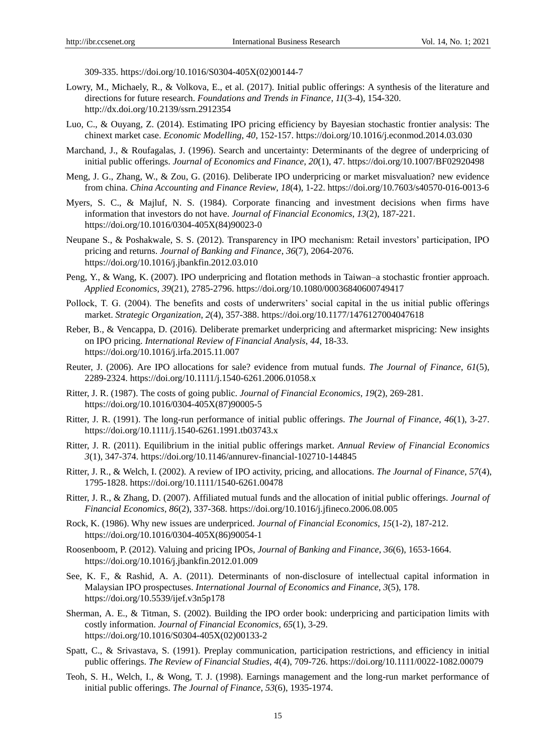309-335. [https://doi.org/10.1016/S0304-405X\(02\)00144-7](https://doi.org/10.1016/S0304-405X(02)00144-7)

- Lowry, M., Michaely, R., & Volkova, E., et al. (2017). Initial public offerings: A synthesis of the literature and directions for future research. *Foundations and Trends in Finance*, *11*(3-4), 154-320. <http://dx.doi.org/10.2139/ssrn.2912354>
- Luo, C., & Ouyang, Z. (2014). Estimating IPO pricing efficiency by Bayesian stochastic frontier analysis: The chinext market case. *Economic Modelling*, *40,* 152-157. <https://doi.org/10.1016/j.econmod.2014.03.030>
- Marchand, J., & Roufagalas, J. (1996). Search and uncertainty: Determinants of the degree of underpricing of initial public offerings. *Journal of Economics and Finance*, *20*(1), 47. <https://doi.org/10.1007/BF02920498>
- Meng, J. G., Zhang, W., & Zou, G. (2016). Deliberate IPO underpricing or market misvaluation? new evidence from china. *China Accounting and Finance Review*, *18*(4), 1-22. https://doi.org/10.7603/s40570-016-0013-6
- Myers, S. C., & Majluf, N. S. (1984). Corporate financing and investment decisions when firms have information that investors do not have. *Journal of Financial Economics*, *13*(2), 187-221. [https://doi.org/10.1016/0304-405X\(84\)90023-0](https://doi.org/10.1016/0304-405X(84)90023-0)
- Neupane S., & Poshakwale, S. S. (2012). Transparency in IPO mechanism: Retail investors" participation, IPO pricing and returns. *Journal of Banking and Finance*, *36*(7), 2064-2076. <https://doi.org/10.1016/j.jbankfin.2012.03.010>
- Peng, Y., & Wang, K. (2007). IPO underpricing and flotation methods in Taiwan–a stochastic frontier approach. *Applied Economics*, *39*(21), 2785-2796. <https://doi.org/10.1080/00036840600749417>
- Pollock, T. G. (2004). The benefits and costs of underwriters" social capital in the us initial public offerings market. *Strategic Organization*, *2*(4), 357-388. <https://doi.org/10.1177/1476127004047618>
- Reber, B., & Vencappa, D. (2016). Deliberate premarket underpricing and aftermarket mispricing: New insights on IPO pricing. *International Review of Financial Analysis*, *44*, 18-33. <https://doi.org/10.1016/j.irfa.2015.11.007>
- Reuter, J. (2006). Are IPO allocations for sale? evidence from mutual funds. *The Journal of Finance*, *61*(5), 2289-2324. <https://doi.org/10.1111/j.1540-6261.2006.01058.x>
- Ritter, J. R. (1987). The costs of going public. *Journal of Financial Economics*, *19*(2), 269-281. [https://doi.org/10.1016/0304-405X\(87\)90005-5](https://doi.org/10.1016/0304-405X(87)90005-5)
- Ritter, J. R. (1991). The long-run performance of initial public offerings. *The Journal of Finance*, *46*(1), 3-27. <https://doi.org/10.1111/j.1540-6261.1991.tb03743.x>
- Ritter, J. R. (2011). Equilibrium in the initial public offerings market. *Annual Review of Financial Economics 3*(1), 347-374. <https://doi.org/10.1146/annurev-financial-102710-144845>
- Ritter, J. R., & Welch, I. (2002). A review of IPO activity, pricing, and allocations. *The Journal of Finance*, *57*(4), 1795-1828.<https://doi.org/10.1111/1540-6261.00478>
- Ritter, J. R., & Zhang, D. (2007). Affiliated mutual funds and the allocation of initial public offerings. *Journal of Financial Economics*, *86*(2), 337-368. <https://doi.org/10.1016/j.jfineco.2006.08.005>
- Rock, K. (1986). Why new issues are underpriced. *Journal of Financial Economics*, *15*(1-2), 187-212. [https://doi.org/10.1016/0304-405X\(86\)90054-1](https://doi.org/10.1016/0304-405X(86)90054-1)
- Roosenboom, P. (2012). Valuing and pricing IPOs, *Journal of Banking and Finance*, *36*(6), 1653-1664. <https://doi.org/10.1016/j.jbankfin.2012.01.009>
- See, K. F., & Rashid, A. A. (2011). Determinants of non-disclosure of intellectual capital information in Malaysian IPO prospectuses. *International Journal of Economics and Finance*, *3*(5), 178. https://doi.org/10.5539/ijef.v3n5p178
- Sherman, A. E., & Titman, S. (2002). Building the IPO order book: underpricing and participation limits with costly information. *Journal of Financial Economics*, *65*(1), 3-29. [https://doi.org/10.1016/S0304-405X\(02\)00133-2](https://doi.org/10.1016/S0304-405X(02)00133-2)
- Spatt, C., & Srivastava, S. (1991). Preplay communication, participation restrictions, and efficiency in initial public offerings. *The Review of Financial Studies*, *4*(4), 709-726[. https://doi.org/10.1111/0022-1082.00079](https://doi.org/10.1111/0022-1082.00079)
- Teoh, S. H., Welch, I., & Wong, T. J. (1998). Earnings management and the long-run market performance of initial public offerings. *The Journal of Finance*, *53*(6), 1935-1974.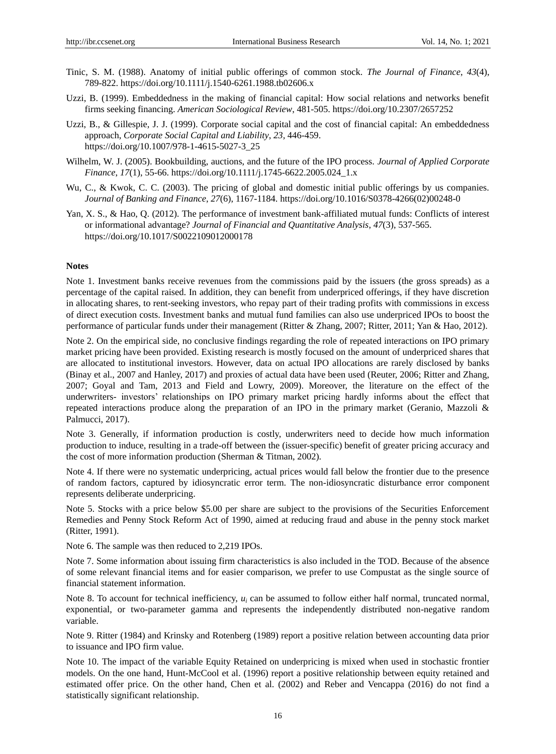- Tinic, S. M. (1988). Anatomy of initial public offerings of common stock. *The Journal of Finance*, *43*(4), 789-822. https://doi.org/10.1111/j.1540-6261.1988.tb02606.x
- Uzzi, B. (1999). Embeddedness in the making of financial capital: How social relations and networks benefit firms seeking financing. *American Sociological Review*, 481-505. https://doi.org/10.2307/2657252
- Uzzi, B., & Gillespie, J. J. (1999). Corporate social capital and the cost of financial capital: An embeddedness approach, *Corporate Social Capital and Liability*, *23,* 446-459. [https://doi.org/10.1007/978-1-4615-5027-3\\_25](https://doi.org/10.1007/978-1-4615-5027-3_25)
- Wilhelm, W. J. (2005). Bookbuilding, auctions, and the future of the IPO process. *Journal of Applied Corporate Finance*, *17*(1), 55-66[. https://doi.org/10.1111/j.1745-6622.2005.024\\_1.x](https://doi.org/10.1111/j.1745-6622.2005.024_1.x)
- Wu, C., & Kwok, C. C. (2003). The pricing of global and domestic initial public offerings by us companies. *Journal of Banking and Finance*, *27*(6), 1167-1184. [https://doi.org/10.1016/S0378-4266\(02\)00248-0](https://doi.org/10.1016/S0378-4266(02)00248-0)
- Yan, X. S., & Hao, Q. (2012). The performance of investment bank-affiliated mutual funds: Conflicts of interest or informational advantage? *Journal of Financial and Quantitative Analysis*, *47*(3), 537-565. <https://doi.org/10.1017/S0022109012000178>

## **Notes**

Note 1. Investment banks receive revenues from the commissions paid by the issuers (the gross spreads) as a percentage of the capital raised. In addition, they can benefit from underpriced offerings, if they have discretion in allocating shares, to rent-seeking investors, who repay part of their trading profits with commissions in excess of direct execution costs. Investment banks and mutual fund families can also use underpriced IPOs to boost the performance of particular funds under their management (Ritter & Zhang, 2007; Ritter, 2011; Yan & Hao, 2012).

Note 2. On the empirical side, no conclusive findings regarding the role of repeated interactions on IPO primary market pricing have been provided. Existing research is mostly focused on the amount of underpriced shares that are allocated to institutional investors. However, data on actual IPO allocations are rarely disclosed by banks (Binay et al., 2007 and Hanley, 2017) and proxies of actual data have been used (Reuter, 2006; Ritter and Zhang, 2007; Goyal and Tam, 2013 and Field and Lowry, 2009). Moreover, the literature on the effect of the underwriters- investors" relationships on IPO primary market pricing hardly informs about the effect that repeated interactions produce along the preparation of an IPO in the primary market (Geranio, Mazzoli & Palmucci, 2017).

Note 3. Generally, if information production is costly, underwriters need to decide how much information production to induce, resulting in a trade-off between the (issuer-specific) benefit of greater pricing accuracy and the cost of more information production (Sherman & Titman, 2002).

Note 4. If there were no systematic underpricing, actual prices would fall below the frontier due to the presence of random factors, captured by idiosyncratic error term. The non-idiosyncratic disturbance error component represents deliberate underpricing.

Note 5. Stocks with a price below \$5.00 per share are subject to the provisions of the Securities Enforcement Remedies and Penny Stock Reform Act of 1990, aimed at reducing fraud and abuse in the penny stock market (Ritter, 1991).

Note 6. The sample was then reduced to 2,219 IPOs.

Note 7. Some information about issuing firm characteristics is also included in the TOD. Because of the absence of some relevant financial items and for easier comparison, we prefer to use Compustat as the single source of financial statement information.

Note 8. To account for technical inefficiency,  $u_i$  can be assumed to follow either half normal, truncated normal, exponential, or two-parameter gamma and represents the independently distributed non-negative random variable.

Note 9. Ritter (1984) and Krinsky and Rotenberg (1989) report a positive relation between accounting data prior to issuance and IPO firm value.

Note 10. The impact of the variable Equity Retained on underpricing is mixed when used in stochastic frontier models. On the one hand, Hunt-McCool et al. (1996) report a positive relationship between equity retained and estimated offer price. On the other hand, Chen et al. (2002) and Reber and Vencappa (2016) do not find a statistically significant relationship.